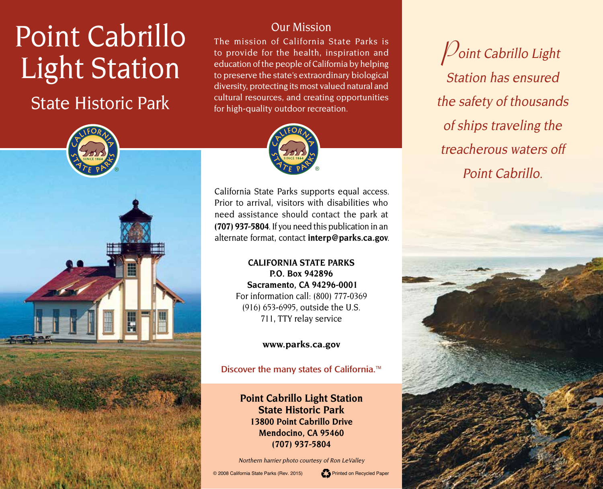# Point Cabrillo Light Station

# State Historic Park



## Our Mission

The mission of California State Parks is to provide for the health, inspiration and education of the people of California by helping to preserve the state's extraordinary biological diversity, protecting its most valued natural and cultural resources, and creating opportunities for high-quality outdoor recreation.



California State Parks supports equal access. Prior to arrival, visitors with disabilities who need assistance should contact the park at **(707) 937-5804**. If you need this publication in an alternate format, contact **[interp@parks.ca.gov](http://interp@parks.ca.gov)**.

> **CALIFORNIA STATE PARKS P.O. Box 942896 Sacramento, CA 94296-0001** For information call: (800) 777-0369 (916) 653-6995, outside the U.S. 711, TTY relay service

> > **[www.parks.ca.gov](http://www.parks.ca.gov)**

Discover the many states of California.<sup>™</sup>

**Point Cabrillo Light Station State Historic Park 13800 Point Cabrillo Drive Mendocino, CA 95460 (707) 937-5804**

Northern harrier photo courtesy of Ron LeValley

© 2008 California State Parks (Rev. 2015) Printed on Recycled Paper



**P**oint Cabrillo Light Station has ensured the safety of thousands of ships traveling the treacherous waters off Point Cabrillo.

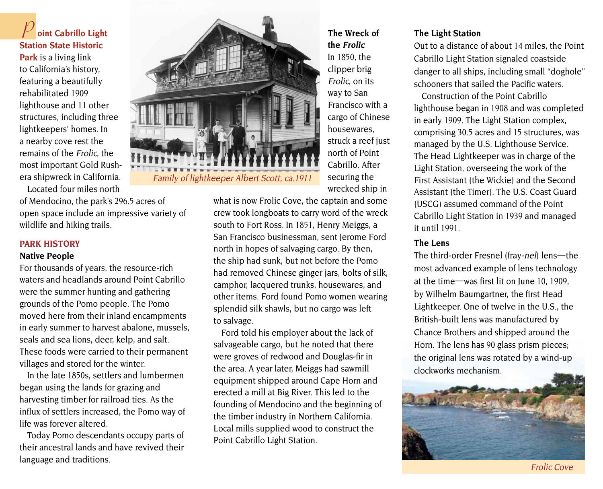**P oint Cabrillo Light Station State Historic Park** is a living link to California's history, featuring a beautifully rehabilitated 1909 lighthouse and 11 other structures, including three lightkeepers' homes. In a nearby cove rest the remains of the Frolic, the most important Gold Rushera shipwreck in California.

Located four miles north of Mendocino, the park's 296.5 acres of

open space include an impressive variety of wildlife and hiking trails.

#### **PARK HISTORY**

#### **Native People**

For thousands of years, the resource-rich waters and headlands around Point Cabrillo were the summer hunting and gathering grounds of the Pomo people. The Pomo moved here from their inland encampments in early summer to harvest abalone, mussels, seals and sea lions, deer, kelp, and salt. These foods were carried to their permanent villages and stored for the winter.

In the late 1850s, settlers and lumbermen began using the lands for grazing and harvesting timber for railroad ties. As the influx of settlers increased, the Pomo way of life was forever altered.

Today Pomo descendants occupy parts of their ancestral lands and have revived their language and traditions.



**The Wreck of the Frolic** In 1850, the clipper brig Frolic, on its way to San Francisco with a cargo of Chinese housewares, struck a reef just north of Point Cabrillo. After securing the wrecked ship in

what is now Frolic Cove, the captain and some crew took longboats to carry word of the wreck south to Fort Ross. In 1851, Henry Meiggs, a San Francisco businessman, sent Jerome Ford north in hopes of salvaging cargo. By then, the ship had sunk, but not before the Pomo had removed Chinese ginger jars, bolts of silk, camphor, lacquered trunks, housewares, and other items. Ford found Pomo women wearing splendid silk shawls, but no cargo was left to salvage.

Ford told his employer about the lack of salvageable cargo, but he noted that there were groves of redwood and Douglas-fir in the area. A year later, Meiggs had sawmill equipment shipped around Cape Horn and erected a mill at Big River. This led to the founding of Mendocino and the beginning of the timber industry in Northern California. Local mills supplied wood to construct the Point Cabrillo Light Station.

#### **The Light Station**

Out to a distance of about 14 miles, the Point Cabrillo Light Station signaled coastside danger to all ships, including small "doghole" schooners that sailed the Pacific waters.

Construction of the Point Cabrillo lighthouse began in 1908 and was completed in early 1909. The Light Station complex, comprising 30.5 acres and 15 structures, was managed by the U.S. Lighthouse Service. The Head Lightkeeper was in charge of the Light Station, overseeing the work of the First Assistant (the Wickie) and the Second Assistant (the Timer). The U.S. Coast Guard (USCG) assumed command of the Point Cabrillo Light Station in 1939 and managed it until 1991.

#### **The Lens**

The third-order Fresnel (fray-nel) lens—the most advanced example of lens technology at the time—was first lit on June 10, 1909, by Wilhelm Baumgartner, the first Head Lightkeeper. One of twelve in the U.S., the British-built lens was manufactured by Chance Brothers and shipped around the Horn. The lens has 90 glass prism pieces; the original lens was rotated by a wind-up clockworks mechanism.

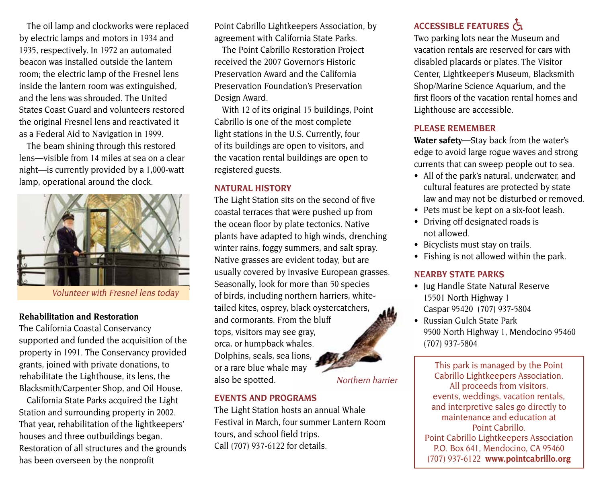The oil lamp and clockworks were replaced by electric lamps and motors in 1934 and 1935, respectively. In 1972 an automated beacon was installed outside the lantern room; the electric lamp of the Fresnel lens inside the lantern room was extinguished, and the lens was shrouded. The United States Coast Guard and volunteers restored the original Fresnel lens and reactivated it as a Federal Aid to Navigation in 1999.

The beam shining through this restored lens—visible from 14 miles at sea on a clear night—is currently provided by a 1,000-watt lamp, operational around the clock.



Volunteer with Fresnel lens today

#### **Rehabilitation and Restoration**

The California Coastal Conservancy supported and funded the acquisition of the property in 1991. The Conservancy provided grants, joined with private donations, to rehabilitate the Lighthouse, its lens, the Blacksmith/Carpenter Shop, and Oil House.

California State Parks acquired the Light Station and surrounding property in 2002. That year, rehabilitation of the lightkeepers' houses and three outbuildings began. Restoration of all structures and the grounds has been overseen by the nonprofit

Point Cabrillo Lightkeepers Association, by agreement with California State Parks.

The Point Cabrillo Restoration Project received the 2007 Governor's Historic Preservation Award and the California Preservation Foundation's Preservation Design Award.

With 12 of its original 15 buildings, Point Cabrillo is one of the most complete light stations in the U.S. Currently, four of its buildings are open to visitors, and the vacation rental buildings are open to registered guests.

#### **NATURAL HISTORY**

The Light Station sits on the second of five coastal terraces that were pushed up from the ocean floor by plate tectonics. Native plants have adapted to high winds, drenching winter rains, foggy summers, and salt spray. Native grasses are evident today, but are usually covered by invasive European grasses. Seasonally, look for more than 50 species of birds, including northern harriers, whitetailed kites, osprey, black oystercatchers, and cormorants. From the bluff tops, visitors may see gray, orca, or humpback whales. Dolphins, seals, sea lions, or a rare blue whale may also be spotted. Northern harrier

#### **EVENTS AND PROGRAMS**

The Light Station hosts an annual Whale Festival in March, four summer Lantern Room tours, and school field trips. Call (707) 937-6122 for details.

## ACCESSIBLE FEATURES

Two parking lots near the Museum and vacation rentals are reserved for cars with disabled placards or plates. The Visitor Center, Lightkeeper's Museum, Blacksmith Shop/Marine Science Aquarium, and the first floors of the vacation rental homes and Lighthouse are accessible.

#### **PLEASE REMEMBER**

**Water safety—**Stay back from the water's edge to avoid large rogue waves and strong currents that can sweep people out to sea.

- All of the park's natural, underwater, and cultural features are protected by state law and may not be disturbed or removed.
- Pets must be kept on a six-foot leash.
- Driving off designated roads is not allowed.
- Bicyclists must stay on trails.
- Fishing is not allowed within the park.

#### **NEARBY STATE PARKS**

- Jug Handle State Natural Reserve 15501 North Highway 1 Caspar 95420 (707) 937-5804
- Russian Gulch State Park 9500 North Highway 1, Mendocino 95460 (707) 937-5804

This park is managed by the Point Cabrillo Lightkeepers Association. All proceeds from visitors, events, weddings, vacation rentals, and interpretive sales go directly to maintenance and education at Point Cabrillo. Point Cabrillo Lightkeepers Association P.O. Box 641, Mendocino, CA 95460 (707) 937-6122 **[www.pointcabrillo.org](http://www.pointcabrillo.org)**